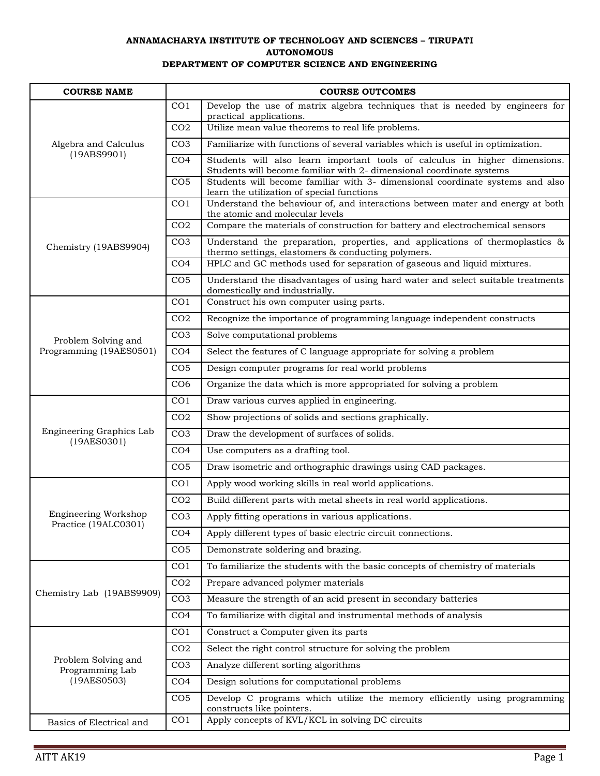## **ANNAMACHARYA INSTITUTE OF TECHNOLOGY AND SCIENCES – TIRUPATI AUTONOMOUS DEPARTMENT OF COMPUTER SCIENCE AND ENGINEERING**

| <b>COURSE NAME</b>                                    |                 | <b>COURSE OUTCOMES</b>                                                                                                                                                                              |
|-------------------------------------------------------|-----------------|-----------------------------------------------------------------------------------------------------------------------------------------------------------------------------------------------------|
| Algebra and Calculus<br>(19ABS9901)                   | CO <sub>1</sub> | Develop the use of matrix algebra techniques that is needed by engineers for<br>practical applications.                                                                                             |
|                                                       | CO <sub>2</sub> | Utilize mean value theorems to real life problems.                                                                                                                                                  |
|                                                       | CO <sub>3</sub> | Familiarize with functions of several variables which is useful in optimization.                                                                                                                    |
|                                                       | CO <sub>4</sub> | Students will also learn important tools of calculus in higher dimensions.                                                                                                                          |
|                                                       | CO <sub>5</sub> | Students will become familiar with 2- dimensional coordinate systems<br>Students will become familiar with 3- dimensional coordinate systems and also<br>learn the utilization of special functions |
|                                                       | CO <sub>1</sub> | Understand the behaviour of, and interactions between mater and energy at both<br>the atomic and molecular levels                                                                                   |
|                                                       | CO <sub>2</sub> | Compare the materials of construction for battery and electrochemical sensors                                                                                                                       |
| Chemistry (19ABS9904)                                 | CO <sub>3</sub> | Understand the preparation, properties, and applications of thermoplastics $\&$<br>thermo settings, elastomers & conducting polymers.                                                               |
|                                                       | CO <sub>4</sub> | HPLC and GC methods used for separation of gaseous and liquid mixtures.                                                                                                                             |
|                                                       | CO <sub>5</sub> | Understand the disadvantages of using hard water and select suitable treatments<br>domestically and industrially.                                                                                   |
|                                                       | CO1             | Construct his own computer using parts.                                                                                                                                                             |
|                                                       | CO <sub>2</sub> | Recognize the importance of programming language independent constructs                                                                                                                             |
| Problem Solving and                                   | CO <sub>3</sub> | Solve computational problems                                                                                                                                                                        |
| Programming (19AES0501)                               | CO <sub>4</sub> | Select the features of C language appropriate for solving a problem                                                                                                                                 |
|                                                       | CO <sub>5</sub> | Design computer programs for real world problems                                                                                                                                                    |
|                                                       | CO <sub>6</sub> | Organize the data which is more appropriated for solving a problem                                                                                                                                  |
|                                                       | CO <sub>1</sub> | Draw various curves applied in engineering.                                                                                                                                                         |
|                                                       | CO <sub>2</sub> | Show projections of solids and sections graphically.                                                                                                                                                |
| Engineering Graphics Lab<br>(19AES0301)               | CO <sub>3</sub> | Draw the development of surfaces of solids.                                                                                                                                                         |
|                                                       | CO <sub>4</sub> | Use computers as a drafting tool.                                                                                                                                                                   |
|                                                       | CO <sub>5</sub> | Draw isometric and orthographic drawings using CAD packages.                                                                                                                                        |
|                                                       | CO <sub>1</sub> | Apply wood working skills in real world applications.                                                                                                                                               |
|                                                       | CO <sub>2</sub> | Build different parts with metal sheets in real world applications.                                                                                                                                 |
| Engineering Workshop<br>Practice (19ALC0301)          | CO <sub>3</sub> | Apply fitting operations in various applications.                                                                                                                                                   |
|                                                       | CO <sub>4</sub> | Apply different types of basic electric circuit connections.                                                                                                                                        |
|                                                       | CO <sub>5</sub> | Demonstrate soldering and brazing.                                                                                                                                                                  |
|                                                       | CO <sub>1</sub> | To familiarize the students with the basic concepts of chemistry of materials                                                                                                                       |
|                                                       | CO <sub>2</sub> | Prepare advanced polymer materials                                                                                                                                                                  |
| Chemistry Lab (19ABS9909)                             | CO <sub>3</sub> | Measure the strength of an acid present in secondary batteries                                                                                                                                      |
|                                                       | CO <sub>4</sub> | To familiarize with digital and instrumental methods of analysis                                                                                                                                    |
|                                                       | CO <sub>1</sub> | Construct a Computer given its parts                                                                                                                                                                |
| Problem Solving and<br>Programming Lab<br>(19AES0503) | CO <sub>2</sub> | Select the right control structure for solving the problem                                                                                                                                          |
|                                                       | CO <sub>3</sub> | Analyze different sorting algorithms                                                                                                                                                                |
|                                                       | CO <sub>4</sub> | Design solutions for computational problems                                                                                                                                                         |
|                                                       | CO <sub>5</sub> | Develop C programs which utilize the memory efficiently using programming<br>constructs like pointers.                                                                                              |
| Basics of Electrical and                              | CO <sub>1</sub> | Apply concepts of KVL/KCL in solving DC circuits                                                                                                                                                    |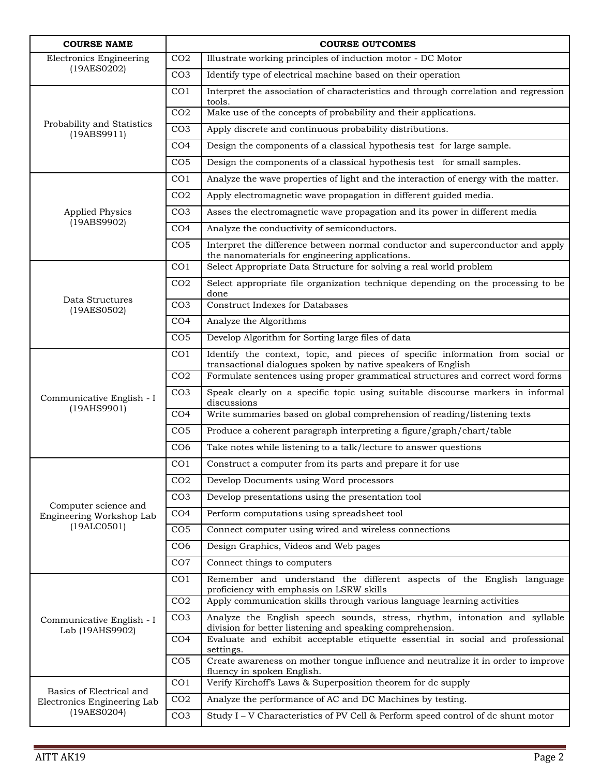| <b>COURSE NAME</b>                            |                 | <b>COURSE OUTCOMES</b>                                                                                                                         |
|-----------------------------------------------|-----------------|------------------------------------------------------------------------------------------------------------------------------------------------|
| <b>Electronics Engineering</b><br>(19AES0202) | CO <sub>2</sub> | Illustrate working principles of induction motor - DC Motor                                                                                    |
|                                               | CO <sub>3</sub> | Identify type of electrical machine based on their operation                                                                                   |
| Probability and Statistics<br>(19ABS9911)     | CO <sub>1</sub> | Interpret the association of characteristics and through correlation and regression<br>tools.                                                  |
|                                               | CO <sub>2</sub> | Make use of the concepts of probability and their applications.                                                                                |
|                                               | CO <sub>3</sub> | Apply discrete and continuous probability distributions.                                                                                       |
|                                               | CO <sub>4</sub> | Design the components of a classical hypothesis test for large sample.                                                                         |
|                                               | CO <sub>5</sub> | Design the components of a classical hypothesis test for small samples.                                                                        |
|                                               | CO <sub>1</sub> | Analyze the wave properties of light and the interaction of energy with the matter.                                                            |
|                                               | CO <sub>2</sub> | Apply electromagnetic wave propagation in different guided media.                                                                              |
| <b>Applied Physics</b>                        | CO <sub>3</sub> | Asses the electromagnetic wave propagation and its power in different media                                                                    |
| (19ABS9902)                                   | CO <sub>4</sub> | Analyze the conductivity of semiconductors.                                                                                                    |
|                                               | CO <sub>5</sub> | Interpret the difference between normal conductor and superconductor and apply<br>the nanomaterials for engineering applications.              |
|                                               | CO <sub>1</sub> | Select Appropriate Data Structure for solving a real world problem                                                                             |
| Data Structures                               | CO <sub>2</sub> | Select appropriate file organization technique depending on the processing to be<br>done                                                       |
| (19AES0502)                                   | CO <sub>3</sub> | <b>Construct Indexes for Databases</b>                                                                                                         |
|                                               | CO <sub>4</sub> | Analyze the Algorithms                                                                                                                         |
|                                               | CO <sub>5</sub> | Develop Algorithm for Sorting large files of data                                                                                              |
|                                               | CO <sub>1</sub> | Identify the context, topic, and pieces of specific information from social or<br>transactional dialogues spoken by native speakers of English |
|                                               | CO <sub>2</sub> | Formulate sentences using proper grammatical structures and correct word forms                                                                 |
| Communicative English - I<br>(19AHS9901)      | CO <sub>3</sub> | Speak clearly on a specific topic using suitable discourse markers in informal<br>discussions                                                  |
|                                               | CO <sub>4</sub> | Write summaries based on global comprehension of reading/listening texts                                                                       |
|                                               | CO <sub>5</sub> | Produce a coherent paragraph interpreting a figure/graph/chart/table                                                                           |
|                                               | CO <sub>6</sub> | Take notes while listening to a talk/lecture to answer questions                                                                               |
|                                               | CO <sub>1</sub> | Construct a computer from its parts and prepare it for use                                                                                     |
|                                               | CO <sub>2</sub> | Develop Documents using Word processors                                                                                                        |
| Computer science and                          | CO <sub>3</sub> | Develop presentations using the presentation tool                                                                                              |
| Engineering Workshop Lab                      | CO <sub>4</sub> | Perform computations using spreadsheet tool                                                                                                    |
| (19ALCO501)                                   | CO <sub>5</sub> | Connect computer using wired and wireless connections                                                                                          |
|                                               | CO <sub>6</sub> | Design Graphics, Videos and Web pages                                                                                                          |
|                                               | CO7             | Connect things to computers                                                                                                                    |
|                                               | CO <sub>1</sub> | Remember and understand the different aspects of the English language<br>proficiency with emphasis on LSRW skills                              |
|                                               | CO <sub>2</sub> | Apply communication skills through various language learning activities                                                                        |
| Communicative English - I<br>Lab (19AHS9902)  | CO <sub>3</sub> | Analyze the English speech sounds, stress, rhythm, intonation and syllable<br>division for better listening and speaking comprehension.        |
|                                               | CO <sub>4</sub> | Evaluate and exhibit acceptable etiquette essential in social and professional<br>settings.                                                    |
|                                               | CO <sub>5</sub> | Create awareness on mother tongue influence and neutralize it in order to improve<br>fluency in spoken English.                                |
| Basics of Electrical and                      | CO <sub>1</sub> | Verify Kirchoff's Laws & Superposition theorem for dc supply                                                                                   |
| Electronics Engineering Lab                   | CO <sub>2</sub> | Analyze the performance of AC and DC Machines by testing.                                                                                      |
| (19AES0204)                                   | CO <sub>3</sub> | Study I - V Characteristics of PV Cell & Perform speed control of dc shunt motor                                                               |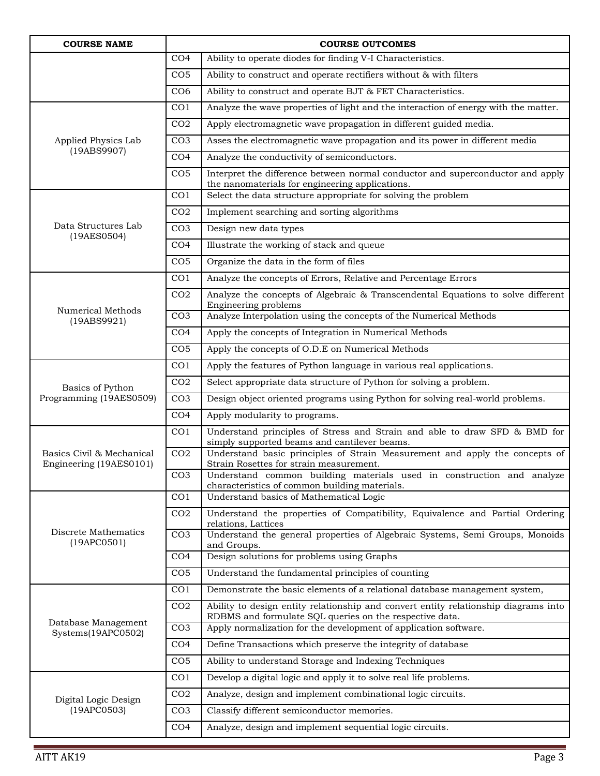| <b>COURSE NAME</b>                                   |                 | <b>COURSE OUTCOMES</b>                                                                                                                         |
|------------------------------------------------------|-----------------|------------------------------------------------------------------------------------------------------------------------------------------------|
|                                                      | CO <sub>4</sub> | Ability to operate diodes for finding V-I Characteristics.                                                                                     |
|                                                      | CO <sub>5</sub> | Ability to construct and operate rectifiers without & with filters                                                                             |
|                                                      | CO <sub>6</sub> | Ability to construct and operate BJT & FET Characteristics.                                                                                    |
| Applied Physics Lab                                  | CO <sub>1</sub> | Analyze the wave properties of light and the interaction of energy with the matter.                                                            |
|                                                      | CO <sub>2</sub> | Apply electromagnetic wave propagation in different guided media.                                                                              |
|                                                      | CO <sub>3</sub> | Asses the electromagnetic wave propagation and its power in different media                                                                    |
| (19ABS9907)                                          | CO <sub>4</sub> | Analyze the conductivity of semiconductors.                                                                                                    |
|                                                      | CO <sub>5</sub> | Interpret the difference between normal conductor and superconductor and apply<br>the nanomaterials for engineering applications.              |
|                                                      | CO <sub>1</sub> | Select the data structure appropriate for solving the problem                                                                                  |
|                                                      | CO <sub>2</sub> | Implement searching and sorting algorithms                                                                                                     |
| Data Structures Lab                                  | CO <sub>3</sub> | Design new data types                                                                                                                          |
| (19AES0504)                                          | CO <sub>4</sub> | Illustrate the working of stack and queue                                                                                                      |
|                                                      | CO <sub>5</sub> | Organize the data in the form of files                                                                                                         |
|                                                      | CO <sub>1</sub> | Analyze the concepts of Errors, Relative and Percentage Errors                                                                                 |
|                                                      | CO <sub>2</sub> | Analyze the concepts of Algebraic & Transcendental Equations to solve different<br>Engineering problems                                        |
| Numerical Methods<br>(19ABS9921)                     | CO <sub>3</sub> | Analyze Interpolation using the concepts of the Numerical Methods                                                                              |
|                                                      | CO <sub>4</sub> | Apply the concepts of Integration in Numerical Methods                                                                                         |
|                                                      | CO <sub>5</sub> | Apply the concepts of O.D.E on Numerical Methods                                                                                               |
|                                                      | CO <sub>1</sub> | Apply the features of Python language in various real applications.                                                                            |
| Basics of Python                                     | CO <sub>2</sub> | Select appropriate data structure of Python for solving a problem.                                                                             |
| Programming (19AES0509)                              | CO <sub>3</sub> | Design object oriented programs using Python for solving real-world problems.                                                                  |
|                                                      | CO <sub>4</sub> | Apply modularity to programs.                                                                                                                  |
|                                                      | CO <sub>1</sub> | Understand principles of Stress and Strain and able to draw SFD & BMD for<br>simply supported beams and cantilever beams.                      |
| Basics Civil & Mechanical<br>Engineering (19AES0101) | CO <sub>2</sub> | Understand basic principles of Strain Measurement and apply the concepts of<br>Strain Rosettes for strain measurement.                         |
|                                                      | CO <sub>3</sub> | Understand common building materials used in construction and analyze<br>characteristics of common building materials.                         |
|                                                      | CO <sub>1</sub> | Understand basics of Mathematical Logic                                                                                                        |
|                                                      | CO <sub>2</sub> | Understand the properties of Compatibility, Equivalence and Partial Ordering<br>relations, Lattices                                            |
| Discrete Mathematics<br>(19APCO501)                  | CO <sub>3</sub> | Understand the general properties of Algebraic Systems, Semi Groups, Monoids<br>and Groups.                                                    |
|                                                      | CO <sub>4</sub> | Design solutions for problems using Graphs                                                                                                     |
|                                                      | CO <sub>5</sub> | Understand the fundamental principles of counting                                                                                              |
|                                                      | CO <sub>1</sub> | Demonstrate the basic elements of a relational database management system,                                                                     |
|                                                      | CO <sub>2</sub> | Ability to design entity relationship and convert entity relationship diagrams into<br>RDBMS and formulate SQL queries on the respective data. |
| Database Management<br>Systems(19APC0502)            | CO <sub>3</sub> | Apply normalization for the development of application software.                                                                               |
|                                                      | CO <sub>4</sub> | Define Transactions which preserve the integrity of database                                                                                   |
|                                                      | CO <sub>5</sub> | Ability to understand Storage and Indexing Techniques                                                                                          |
|                                                      | CO <sub>1</sub> | Develop a digital logic and apply it to solve real life problems.                                                                              |
| Digital Logic Design<br>(19APC0503)                  | CO <sub>2</sub> | Analyze, design and implement combinational logic circuits.                                                                                    |
|                                                      | CO <sub>3</sub> | Classify different semiconductor memories.                                                                                                     |
|                                                      | CO <sub>4</sub> | Analyze, design and implement sequential logic circuits.                                                                                       |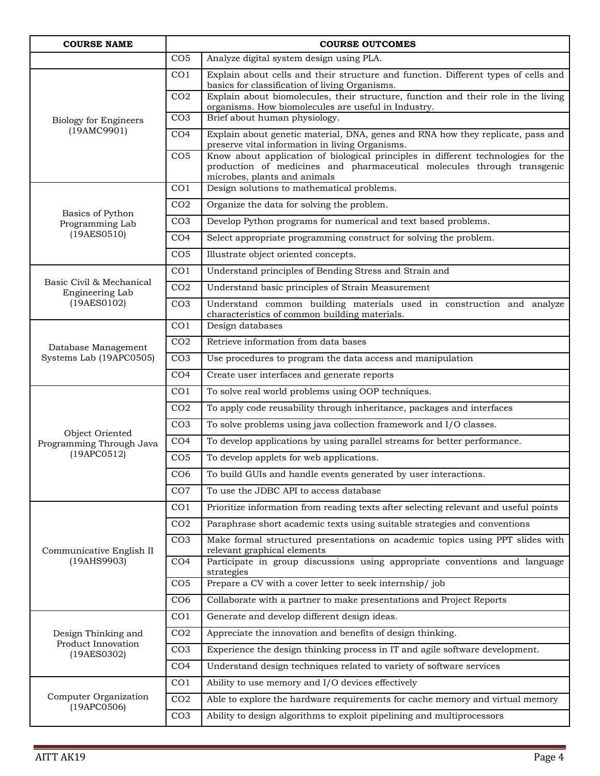| <b>COURSE NAME</b>                          | <b>COURSE OUTCOMES</b> |                                                                                                                                                                                              |  |
|---------------------------------------------|------------------------|----------------------------------------------------------------------------------------------------------------------------------------------------------------------------------------------|--|
|                                             | CO <sub>5</sub>        | Analyze digital system design using PLA.                                                                                                                                                     |  |
| <b>Biology for Engineers</b>                | CO <sub>1</sub>        | Explain about cells and their structure and function. Different types of cells and<br>basics for classification of living Organisms.                                                         |  |
|                                             | CO <sub>2</sub>        | Explain about biomolecules, their structure, function and their role in the living<br>organisms. How biomolecules are useful in Industry.                                                    |  |
|                                             | CO <sub>3</sub>        | Brief about human physiology.                                                                                                                                                                |  |
| (19AMC9901)                                 | CO <sub>4</sub>        | Explain about genetic material, DNA, genes and RNA how they replicate, pass and<br>preserve vital information in living Organisms.                                                           |  |
|                                             | CO <sub>5</sub>        | Know about application of biological principles in different technologies for the<br>production of medicines and pharmaceutical molecules through transgenic<br>microbes, plants and animals |  |
|                                             | CO <sub>1</sub>        | Design solutions to mathematical problems.                                                                                                                                                   |  |
| Basics of Python                            | CO <sub>2</sub>        | Organize the data for solving the problem.                                                                                                                                                   |  |
| Programming Lab                             | CO <sub>3</sub>        | Develop Python programs for numerical and text based problems.                                                                                                                               |  |
| (19AES0510)                                 | CO <sub>4</sub>        | Select appropriate programming construct for solving the problem.                                                                                                                            |  |
|                                             | CO <sub>5</sub>        | Illustrate object oriented concepts.                                                                                                                                                         |  |
|                                             | CO <sub>1</sub>        | Understand principles of Bending Stress and Strain and                                                                                                                                       |  |
| Basic Civil & Mechanical<br>Engineering Lab | CO <sub>2</sub>        | Understand basic principles of Strain Measurement                                                                                                                                            |  |
| (19AES0102)                                 | CO <sub>3</sub>        | Understand common building materials used in construction and analyze<br>characteristics of common building materials.                                                                       |  |
|                                             | CO <sub>1</sub>        | Design databases                                                                                                                                                                             |  |
| Database Management                         | CO <sub>2</sub>        | Retrieve information from data bases                                                                                                                                                         |  |
| Systems Lab (19APC0505)                     | CO <sub>3</sub>        | Use procedures to program the data access and manipulation                                                                                                                                   |  |
|                                             | CO <sub>4</sub>        | Create user interfaces and generate reports                                                                                                                                                  |  |
|                                             | CO <sub>1</sub>        | To solve real world problems using OOP techniques.                                                                                                                                           |  |
|                                             | CO <sub>2</sub>        | To apply code reusability through inheritance, packages and interfaces                                                                                                                       |  |
| Object Oriented                             | CO <sub>3</sub>        | To solve problems using java collection framework and I/O classes.                                                                                                                           |  |
| Programming Through Java                    | CO <sub>4</sub>        | To develop applications by using parallel streams for better performance.                                                                                                                    |  |
| (19APC0512)                                 | CO <sub>5</sub>        | To develop applets for web applications.                                                                                                                                                     |  |
|                                             | CO <sub>6</sub>        | To build GUIs and handle events generated by user interactions.                                                                                                                              |  |
|                                             | CO7                    | To use the JDBC API to access database                                                                                                                                                       |  |
|                                             | CO <sub>1</sub>        | Prioritize information from reading texts after selecting relevant and useful points                                                                                                         |  |
|                                             | CO <sub>2</sub>        | Paraphrase short academic texts using suitable strategies and conventions                                                                                                                    |  |
| Communicative English II                    | CO <sub>3</sub>        | Make formal structured presentations on academic topics using PPT slides with<br>relevant graphical elements                                                                                 |  |
| (19AHS9903)                                 | CO <sub>4</sub>        | Participate in group discussions using appropriate conventions and language<br>strategies                                                                                                    |  |
|                                             | CO <sub>5</sub>        | Prepare a CV with a cover letter to seek internship/job                                                                                                                                      |  |
|                                             | CO6                    | Collaborate with a partner to make presentations and Project Reports                                                                                                                         |  |
|                                             | CO <sub>1</sub>        | Generate and develop different design ideas.                                                                                                                                                 |  |
| Design Thinking and                         | CO <sub>2</sub>        | Appreciate the innovation and benefits of design thinking.                                                                                                                                   |  |
| Product Innovation<br>(19AES0302)           | CO <sub>3</sub>        | Experience the design thinking process in IT and agile software development.                                                                                                                 |  |
|                                             | CO <sub>4</sub>        | Understand design techniques related to variety of software services                                                                                                                         |  |
|                                             | CO <sub>1</sub>        | Ability to use memory and I/O devices effectively                                                                                                                                            |  |
| Computer Organization<br>(19APC0506)        | CO <sub>2</sub>        | Able to explore the hardware requirements for cache memory and virtual memory                                                                                                                |  |
|                                             | CO <sub>3</sub>        | Ability to design algorithms to exploit pipelining and multiprocessors                                                                                                                       |  |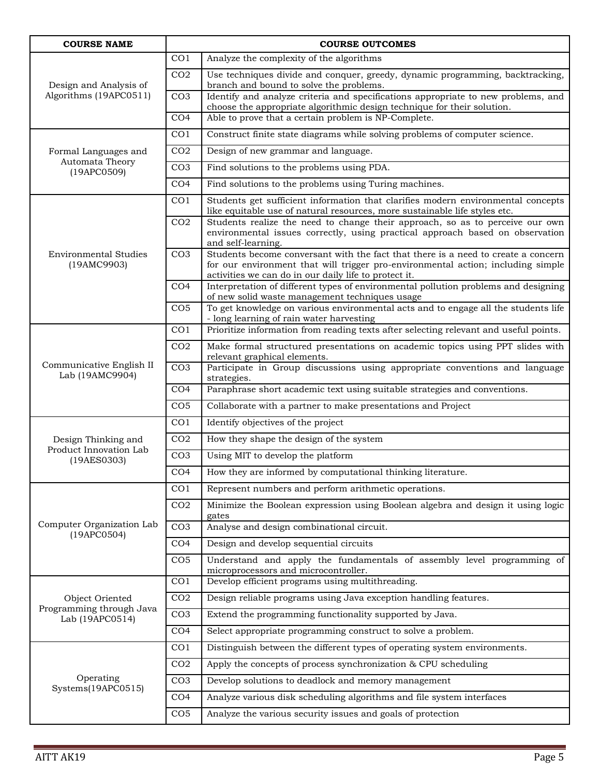| <b>COURSE NAME</b>                               |                 | <b>COURSE OUTCOMES</b>                                                                                                                                                                                                         |
|--------------------------------------------------|-----------------|--------------------------------------------------------------------------------------------------------------------------------------------------------------------------------------------------------------------------------|
| Design and Analysis of<br>Algorithms (19APC0511) | CO <sub>1</sub> | Analyze the complexity of the algorithms                                                                                                                                                                                       |
|                                                  | CO <sub>2</sub> | Use techniques divide and conquer, greedy, dynamic programming, backtracking,<br>branch and bound to solve the problems.                                                                                                       |
|                                                  | CO <sub>3</sub> | Identify and analyze criteria and specifications appropriate to new problems, and<br>choose the appropriate algorithmic design technique for their solution.                                                                   |
|                                                  | CO <sub>4</sub> | Able to prove that a certain problem is NP-Complete.                                                                                                                                                                           |
|                                                  | CO <sub>1</sub> | Construct finite state diagrams while solving problems of computer science.                                                                                                                                                    |
| Formal Languages and                             | CO <sub>2</sub> | Design of new grammar and language.                                                                                                                                                                                            |
| Automata Theory<br>(19APC0509)                   | CO <sub>3</sub> | Find solutions to the problems using PDA.                                                                                                                                                                                      |
|                                                  | CO <sub>4</sub> | Find solutions to the problems using Turing machines.                                                                                                                                                                          |
|                                                  | CO <sub>1</sub> | Students get sufficient information that clarifies modern environmental concepts<br>like equitable use of natural resources, more sustainable life styles etc.                                                                 |
|                                                  | CO <sub>2</sub> | Students realize the need to change their approach, so as to perceive our own<br>environmental issues correctly, using practical approach based on observation<br>and self-learning.                                           |
| <b>Environmental Studies</b><br>(19AMC9903)      | CO <sub>3</sub> | Students become conversant with the fact that there is a need to create a concern<br>for our environment that will trigger pro-environmental action; including simple<br>activities we can do in our daily life to protect it. |
|                                                  | CO <sub>4</sub> | Interpretation of different types of environmental pollution problems and designing<br>of new solid waste management techniques usage                                                                                          |
|                                                  | CO <sub>5</sub> | To get knowledge on various environmental acts and to engage all the students life<br>- long learning of rain water harvesting                                                                                                 |
|                                                  | CO <sub>1</sub> | Prioritize information from reading texts after selecting relevant and useful points.                                                                                                                                          |
|                                                  | CO <sub>2</sub> | Make formal structured presentations on academic topics using PPT slides with<br>relevant graphical elements.                                                                                                                  |
| Communicative English II<br>Lab (19AMC9904)      | CO <sub>3</sub> | Participate in Group discussions using appropriate conventions and language<br>strategies.                                                                                                                                     |
|                                                  | CO <sub>4</sub> | Paraphrase short academic text using suitable strategies and conventions.                                                                                                                                                      |
|                                                  | CO <sub>5</sub> | Collaborate with a partner to make presentations and Project                                                                                                                                                                   |
|                                                  | CO <sub>1</sub> | Identify objectives of the project                                                                                                                                                                                             |
| Design Thinking and                              | CO <sub>2</sub> | How they shape the design of the system                                                                                                                                                                                        |
| Product Innovation Lab<br>(19AES0303)            | CO <sub>3</sub> | Using MIT to develop the platform                                                                                                                                                                                              |
|                                                  | CO <sub>4</sub> | How they are informed by computational thinking literature.                                                                                                                                                                    |
|                                                  | CO <sub>1</sub> | Represent numbers and perform arithmetic operations.                                                                                                                                                                           |
|                                                  | CO <sub>2</sub> | Minimize the Boolean expression using Boolean algebra and design it using logic<br>gates                                                                                                                                       |
| Computer Organization Lab<br>(19APC0504)         | CO <sub>3</sub> | Analyse and design combinational circuit.                                                                                                                                                                                      |
|                                                  | CO <sub>4</sub> | Design and develop sequential circuits                                                                                                                                                                                         |
|                                                  | CO <sub>5</sub> | Understand and apply the fundamentals of assembly level programming of<br>microprocessors and microcontroller.                                                                                                                 |
|                                                  | CO <sub>1</sub> | Develop efficient programs using multithreading.                                                                                                                                                                               |
| Object Oriented                                  | CO <sub>2</sub> | Design reliable programs using Java exception handling features.                                                                                                                                                               |
| Programming through Java<br>Lab (19APC0514)      | CO <sub>3</sub> | Extend the programming functionality supported by Java.                                                                                                                                                                        |
|                                                  | CO <sub>4</sub> | Select appropriate programming construct to solve a problem.                                                                                                                                                                   |
|                                                  | CO <sub>1</sub> | Distinguish between the different types of operating system environments.                                                                                                                                                      |
|                                                  | CO <sub>2</sub> | Apply the concepts of process synchronization & CPU scheduling                                                                                                                                                                 |
| Operating<br>Systems(19APC0515)                  | CO <sub>3</sub> | Develop solutions to deadlock and memory management                                                                                                                                                                            |
|                                                  | CO <sub>4</sub> | Analyze various disk scheduling algorithms and file system interfaces                                                                                                                                                          |
|                                                  | CO <sub>5</sub> | Analyze the various security issues and goals of protection                                                                                                                                                                    |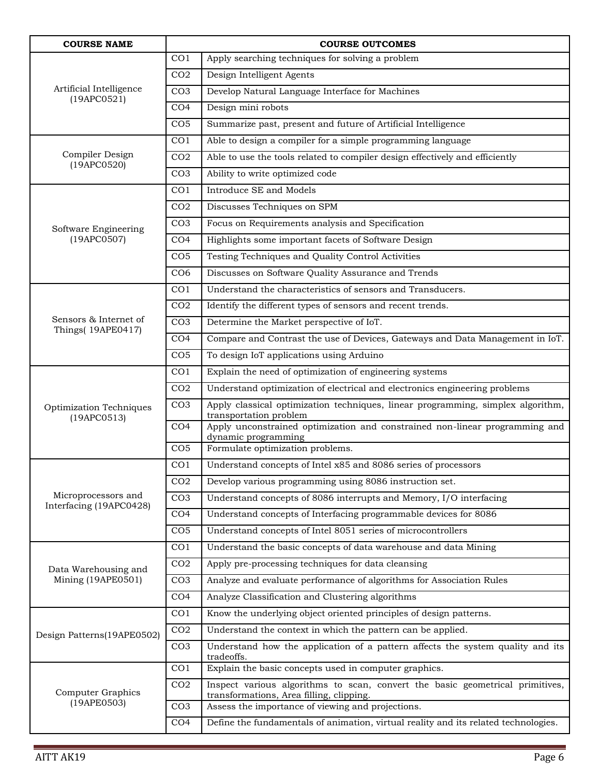| <b>COURSE NAME</b>                             |                 | <b>COURSE OUTCOMES</b>                                                                                                    |
|------------------------------------------------|-----------------|---------------------------------------------------------------------------------------------------------------------------|
| Artificial Intelligence<br>(19APCO521)         | CO <sub>1</sub> | Apply searching techniques for solving a problem                                                                          |
|                                                | CO <sub>2</sub> | Design Intelligent Agents                                                                                                 |
|                                                | CO <sub>3</sub> | Develop Natural Language Interface for Machines                                                                           |
|                                                | CO <sub>4</sub> | Design mini robots                                                                                                        |
|                                                | CO <sub>5</sub> | Summarize past, present and future of Artificial Intelligence                                                             |
|                                                | CO <sub>1</sub> | Able to design a compiler for a simple programming language                                                               |
| Compiler Design<br>(19APC0520)                 | CO <sub>2</sub> | Able to use the tools related to compiler design effectively and efficiently                                              |
|                                                | CO <sub>3</sub> | Ability to write optimized code                                                                                           |
|                                                | CO <sub>1</sub> | Introduce SE and Models                                                                                                   |
|                                                | CO <sub>2</sub> | Discusses Techniques on SPM                                                                                               |
| Software Engineering                           | CO <sub>3</sub> | Focus on Requirements analysis and Specification                                                                          |
| (19APC0507)                                    | CO <sub>4</sub> | Highlights some important facets of Software Design                                                                       |
|                                                | CO <sub>5</sub> | Testing Techniques and Quality Control Activities                                                                         |
|                                                | CO <sub>6</sub> | Discusses on Software Quality Assurance and Trends                                                                        |
|                                                | CO <sub>1</sub> | Understand the characteristics of sensors and Transducers.                                                                |
|                                                | CO <sub>2</sub> | Identify the different types of sensors and recent trends.                                                                |
| Sensors & Internet of<br>Things(19APE0417)     | CO <sub>3</sub> | Determine the Market perspective of IoT.                                                                                  |
|                                                | CO <sub>4</sub> | Compare and Contrast the use of Devices, Gateways and Data Management in IoT.                                             |
|                                                | CO <sub>5</sub> | To design IoT applications using Arduino                                                                                  |
|                                                | CO <sub>1</sub> | Explain the need of optimization of engineering systems                                                                   |
|                                                | CO <sub>2</sub> | Understand optimization of electrical and electronics engineering problems                                                |
| Optimization Techniques<br>(19APCO513)         | CO <sub>3</sub> | Apply classical optimization techniques, linear programming, simplex algorithm,<br>transportation problem                 |
|                                                | CO <sub>4</sub> | Apply unconstrained optimization and constrained non-linear programming and<br>dynamic programming                        |
|                                                | CO <sub>5</sub> | Formulate optimization problems.                                                                                          |
|                                                | CO <sub>1</sub> | Understand concepts of Intel x85 and 8086 series of processors                                                            |
|                                                | CO <sub>2</sub> | Develop various programming using 8086 instruction set.                                                                   |
| Microprocessors and<br>Interfacing (19APC0428) | CO <sub>3</sub> | Understand concepts of 8086 interrupts and Memory, I/O interfacing                                                        |
|                                                | CO <sub>4</sub> | Understand concepts of Interfacing programmable devices for 8086                                                          |
|                                                | CO <sub>5</sub> | Understand concepts of Intel 8051 series of microcontrollers                                                              |
|                                                | CO <sub>1</sub> | Understand the basic concepts of data warehouse and data Mining                                                           |
| Data Warehousing and                           | CO <sub>2</sub> | Apply pre-processing techniques for data cleansing                                                                        |
| Mining (19APE0501)                             | CO <sub>3</sub> | Analyze and evaluate performance of algorithms for Association Rules                                                      |
|                                                | CO <sub>4</sub> | Analyze Classification and Clustering algorithms                                                                          |
|                                                | CO <sub>1</sub> | Know the underlying object oriented principles of design patterns.                                                        |
| Design Patterns(19APE0502)                     | CO <sub>2</sub> | Understand the context in which the pattern can be applied.                                                               |
|                                                | CO <sub>3</sub> | Understand how the application of a pattern affects the system quality and its<br>tradeoffs.                              |
|                                                | CO <sub>1</sub> | Explain the basic concepts used in computer graphics.                                                                     |
| Computer Graphics                              | CO <sub>2</sub> | Inspect various algorithms to scan, convert the basic geometrical primitives,<br>transformations, Area filling, clipping. |
| (19APE0503)                                    | CO <sub>3</sub> | Assess the importance of viewing and projections.                                                                         |
|                                                | CO <sub>4</sub> | Define the fundamentals of animation, virtual reality and its related technologies.                                       |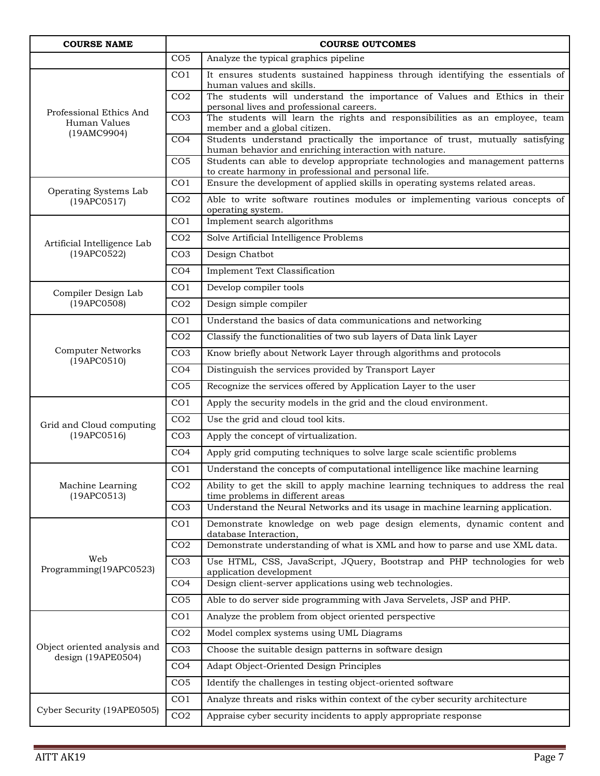| <b>COURSE NAME</b>                                 |                 | <b>COURSE OUTCOMES</b>                                                                                                                |
|----------------------------------------------------|-----------------|---------------------------------------------------------------------------------------------------------------------------------------|
|                                                    | CO <sub>5</sub> | Analyze the typical graphics pipeline                                                                                                 |
| Professional Ethics And<br>Human Values            | CO <sub>1</sub> | It ensures students sustained happiness through identifying the essentials of<br>human values and skills.                             |
|                                                    | CO <sub>2</sub> | The students will understand the importance of Values and Ethics in their<br>personal lives and professional careers.                 |
|                                                    | CO <sub>3</sub> | The students will learn the rights and responsibilities as an employee, team<br>member and a global citizen.                          |
| (19AMC9904)                                        | CO <sub>4</sub> | Students understand practically the importance of trust, mutually satisfying<br>human behavior and enriching interaction with nature. |
|                                                    | CO <sub>5</sub> | Students can able to develop appropriate technologies and management patterns<br>to create harmony in professional and personal life. |
| Operating Systems Lab                              | CO <sub>1</sub> | Ensure the development of applied skills in operating systems related areas.                                                          |
| (19APCO517)                                        | CO <sub>2</sub> | Able to write software routines modules or implementing various concepts of<br>operating system.                                      |
|                                                    | CO <sub>1</sub> | Implement search algorithms                                                                                                           |
| Artificial Intelligence Lab                        | CO <sub>2</sub> | Solve Artificial Intelligence Problems                                                                                                |
| (19APC0522)                                        | CO <sub>3</sub> | Design Chatbot                                                                                                                        |
|                                                    | CO <sub>4</sub> | <b>Implement Text Classification</b>                                                                                                  |
| Compiler Design Lab                                | CO <sub>1</sub> | Develop compiler tools                                                                                                                |
| (19APC0508)                                        | CO <sub>2</sub> | Design simple compiler                                                                                                                |
|                                                    | CO <sub>1</sub> | Understand the basics of data communications and networking                                                                           |
|                                                    | CO <sub>2</sub> | Classify the functionalities of two sub layers of Data link Layer                                                                     |
| <b>Computer Networks</b>                           | CO <sub>3</sub> | Know briefly about Network Layer through algorithms and protocols                                                                     |
| (19APCO510)                                        | CO <sub>4</sub> | Distinguish the services provided by Transport Layer                                                                                  |
|                                                    | CO <sub>5</sub> | Recognize the services offered by Application Layer to the user                                                                       |
|                                                    | CO <sub>1</sub> | Apply the security models in the grid and the cloud environment.                                                                      |
| Grid and Cloud computing                           | CO <sub>2</sub> | Use the grid and cloud tool kits.                                                                                                     |
| (19APCO516)                                        | CO <sub>3</sub> | Apply the concept of virtualization.                                                                                                  |
|                                                    | CO <sub>4</sub> | Apply grid computing techniques to solve large scale scientific problems                                                              |
|                                                    | CO <sub>1</sub> | Understand the concepts of computational intelligence like machine learning                                                           |
| Machine Learning<br>(19APCO513)                    | CO <sub>2</sub> | Ability to get the skill to apply machine learning techniques to address the real<br>time problems in different areas                 |
|                                                    | CO <sub>3</sub> | Understand the Neural Networks and its usage in machine learning application.                                                         |
|                                                    | CO <sub>1</sub> | Demonstrate knowledge on web page design elements, dynamic content and<br>database Interaction,                                       |
|                                                    | CO <sub>2</sub> | Demonstrate understanding of what is XML and how to parse and use XML data.                                                           |
| Web<br>Programming(19APC0523)                      | CO <sub>3</sub> | Use HTML, CSS, JavaScript, JQuery, Bootstrap and PHP technologies for web<br>application development                                  |
|                                                    | CO <sub>4</sub> | Design client-server applications using web technologies.                                                                             |
|                                                    | CO <sub>5</sub> | Able to do server side programming with Java Servelets, JSP and PHP.                                                                  |
|                                                    | CO <sub>1</sub> | Analyze the problem from object oriented perspective                                                                                  |
|                                                    | CO <sub>2</sub> | Model complex systems using UML Diagrams                                                                                              |
| Object oriented analysis and<br>design (19APE0504) | CO <sub>3</sub> | Choose the suitable design patterns in software design                                                                                |
|                                                    | CO <sub>4</sub> | Adapt Object-Oriented Design Principles                                                                                               |
|                                                    | CO <sub>5</sub> | Identify the challenges in testing object-oriented software                                                                           |
| Cyber Security (19APE0505)                         | CO <sub>1</sub> | Analyze threats and risks within context of the cyber security architecture                                                           |
|                                                    | CO <sub>2</sub> | Appraise cyber security incidents to apply appropriate response                                                                       |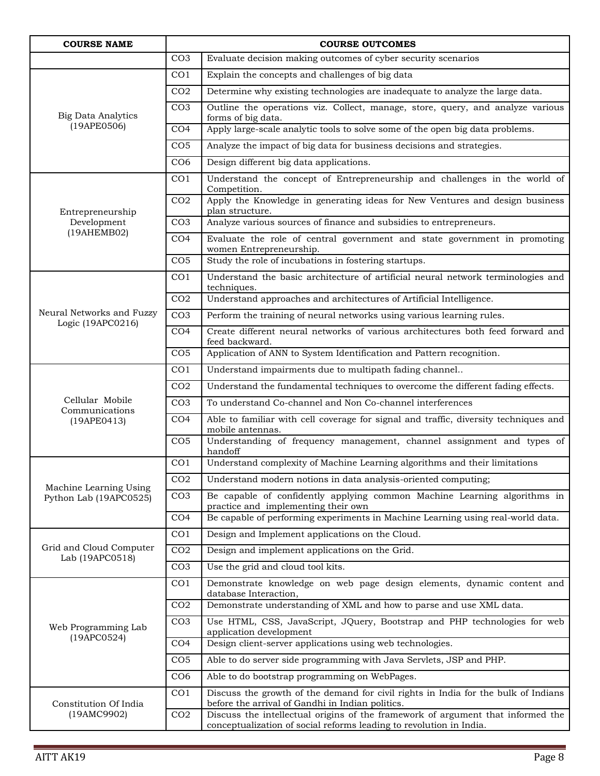| <b>COURSE NAME</b>                             |                 | <b>COURSE OUTCOMES</b>                                                                                                                                 |
|------------------------------------------------|-----------------|--------------------------------------------------------------------------------------------------------------------------------------------------------|
|                                                | CO <sub>3</sub> | Evaluate decision making outcomes of cyber security scenarios                                                                                          |
| <b>Big Data Analytics</b><br>(19APE0506)       | CO <sub>1</sub> | Explain the concepts and challenges of big data                                                                                                        |
|                                                | CO <sub>2</sub> | Determine why existing technologies are inadequate to analyze the large data.                                                                          |
|                                                | CO <sub>3</sub> | Outline the operations viz. Collect, manage, store, query, and analyze various<br>forms of big data.                                                   |
|                                                | CO <sub>4</sub> | Apply large-scale analytic tools to solve some of the open big data problems.                                                                          |
|                                                | CO <sub>5</sub> | Analyze the impact of big data for business decisions and strategies.                                                                                  |
|                                                | CO <sub>6</sub> | Design different big data applications.                                                                                                                |
|                                                | CO <sub>1</sub> | Understand the concept of Entrepreneurship and challenges in the world of<br>Competition.                                                              |
| Entrepreneurship                               | CO <sub>2</sub> | Apply the Knowledge in generating ideas for New Ventures and design business<br>plan structure.                                                        |
| Development                                    | CO <sub>3</sub> | Analyze various sources of finance and subsidies to entrepreneurs.                                                                                     |
| (19AHEMB02)                                    | CO <sub>4</sub> | Evaluate the role of central government and state government in promoting<br>women Entrepreneurship.                                                   |
|                                                | CO <sub>5</sub> | Study the role of incubations in fostering startups.                                                                                                   |
|                                                | CO <sub>1</sub> | Understand the basic architecture of artificial neural network terminologies and<br>techniques.                                                        |
|                                                | CO <sub>2</sub> | Understand approaches and architectures of Artificial Intelligence.                                                                                    |
| Neural Networks and Fuzzy<br>Logic (19APC0216) | CO <sub>3</sub> | Perform the training of neural networks using various learning rules.                                                                                  |
|                                                | CO <sub>4</sub> | Create different neural networks of various architectures both feed forward and<br>feed backward.                                                      |
|                                                | CO <sub>5</sub> | Application of ANN to System Identification and Pattern recognition.                                                                                   |
|                                                | CO <sub>1</sub> | Understand impairments due to multipath fading channel                                                                                                 |
|                                                | CO <sub>2</sub> | Understand the fundamental techniques to overcome the different fading effects.                                                                        |
| Cellular Mobile<br>Communications              | CO <sub>3</sub> | To understand Co-channel and Non Co-channel interferences                                                                                              |
| (19APE0413)                                    | CO <sub>4</sub> | Able to familiar with cell coverage for signal and traffic, diversity techniques and<br>mobile antennas.                                               |
|                                                | CO <sub>5</sub> | Understanding of frequency management, channel assignment and types of<br>handoff                                                                      |
|                                                | CO <sub>1</sub> | Understand complexity of Machine Learning algorithms and their limitations                                                                             |
| Machine Learning Using                         | CO <sub>2</sub> | Understand modern notions in data analysis-oriented computing;                                                                                         |
| Python Lab (19APC0525)                         | CO <sub>3</sub> | Be capable of confidently applying common Machine Learning algorithms in<br>practice and implementing their own                                        |
|                                                | CO <sub>4</sub> | Be capable of performing experiments in Machine Learning using real-world data.                                                                        |
|                                                | CO <sub>1</sub> | Design and Implement applications on the Cloud.                                                                                                        |
| Grid and Cloud Computer<br>Lab (19APC0518)     | CO <sub>2</sub> | Design and implement applications on the Grid.                                                                                                         |
|                                                | CO <sub>3</sub> | Use the grid and cloud tool kits.                                                                                                                      |
|                                                | CO <sub>1</sub> | Demonstrate knowledge on web page design elements, dynamic content and<br>database Interaction,                                                        |
|                                                | CO <sub>2</sub> | Demonstrate understanding of XML and how to parse and use XML data.                                                                                    |
| Web Programming Lab                            | CO <sub>3</sub> | Use HTML, CSS, JavaScript, JQuery, Bootstrap and PHP technologies for web<br>application development                                                   |
| (19APC0524)                                    | CO <sub>4</sub> | Design client-server applications using web technologies.                                                                                              |
|                                                | CO <sub>5</sub> | Able to do server side programming with Java Servlets, JSP and PHP.                                                                                    |
|                                                | CO6             | Able to do bootstrap programming on WebPages.                                                                                                          |
| Constitution Of India                          | CO <sub>1</sub> | Discuss the growth of the demand for civil rights in India for the bulk of Indians<br>before the arrival of Gandhi in Indian politics.                 |
| (19AMC9902)                                    | CO <sub>2</sub> | Discuss the intellectual origins of the framework of argument that informed the<br>conceptualization of social reforms leading to revolution in India. |